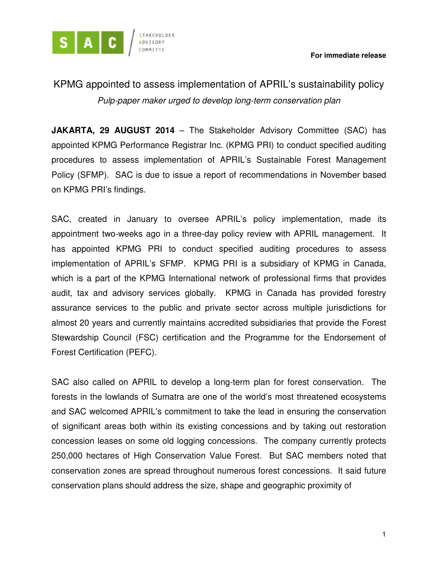

## KPMG appointed to assess implementation of APRIL's sustainability policy Pulp-paper maker urged to develop long-term conservation plan

**JAKARTA, 29 AUGUST 2014** – The Stakeholder Advisory Committee (SAC) has appointed KPMG Performance Registrar Inc. (KPMG PRI) to conduct specified auditing procedures to assess implementation of APRIL's Sustainable Forest Management Policy (SFMP). SAC is due to issue a report of recommendations in November based on KPMG PRI's findings.

SAC, created in January to oversee APRIL's policy implementation, made its appointment two-weeks ago in a three-day policy review with APRIL management. It has appointed KPMG PRI to conduct specified auditing procedures to assess implementation of APRIL's SFMP. KPMG PRI is a subsidiary of KPMG in Canada, which is a part of the KPMG International network of professional firms that provides audit, tax and advisory services globally. KPMG in Canada has provided forestry assurance services to the public and private sector across multiple jurisdictions for almost 20 years and currently maintains accredited subsidiaries that provide the Forest Stewardship Council (FSC) certification and the Programme for the Endorsement of Forest Certification (PEFC).

SAC also called on APRIL to develop a long-term plan for forest conservation. The forests in the lowlands of Sumatra are one of the world's most threatened ecosystems and SAC welcomed APRIL's commitment to take the lead in ensuring the conservation of significant areas both within its existing concessions and by taking out restoration concession leases on some old logging concessions. The company currently protects 250,000 hectares of High Conservation Value Forest. But SAC members noted that conservation zones are spread throughout numerous forest concessions. It said future conservation plans should address the size, shape and geographic proximity of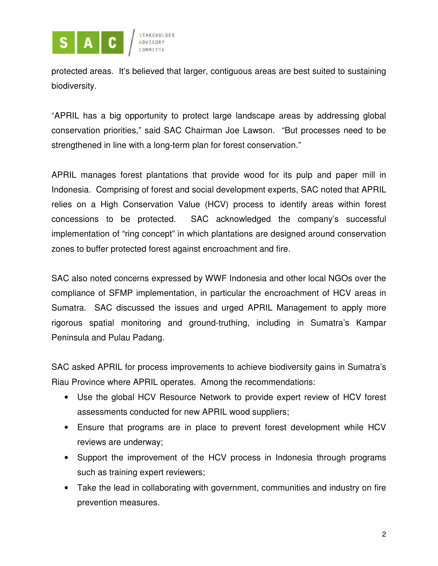

protected areas. It's believed that larger, contiguous areas are best suited to sustaining biodiversity.

"APRIL has a big opportunity to protect large landscape areas by addressing global conservation priorities," said SAC Chairman Joe Lawson. "But processes need to be strengthened in line with a long-term plan for forest conservation."

APRIL manages forest plantations that provide wood for its pulp and paper mill in Indonesia. Comprising of forest and social development experts, SAC noted that APRIL relies on a High Conservation Value (HCV) process to identify areas within forest concessions to be protected. SAC acknowledged the company's successful implementation of "ring concept" in which plantations are designed around conservation zones to buffer protected forest against encroachment and fire.

SAC also noted concerns expressed by WWF Indonesia and other local NGOs over the compliance of SFMP implementation, in particular the encroachment of HCV areas in Sumatra. SAC discussed the issues and urged APRIL Management to apply more rigorous spatial monitoring and ground-truthing, including in Sumatra's Kampar Peninsula and Pulau Padang.

SAC asked APRIL for process improvements to achieve biodiversity gains in Sumatra's Riau Province where APRIL operates. Among the recommendations:

- Use the global HCV Resource Network to provide expert review of HCV forest assessments conducted for new APRIL wood suppliers;
- Ensure that programs are in place to prevent forest development while HCV reviews are underway;
- Support the improvement of the HCV process in Indonesia through programs such as training expert reviewers;
- Take the lead in collaborating with government, communities and industry on fire prevention measures.